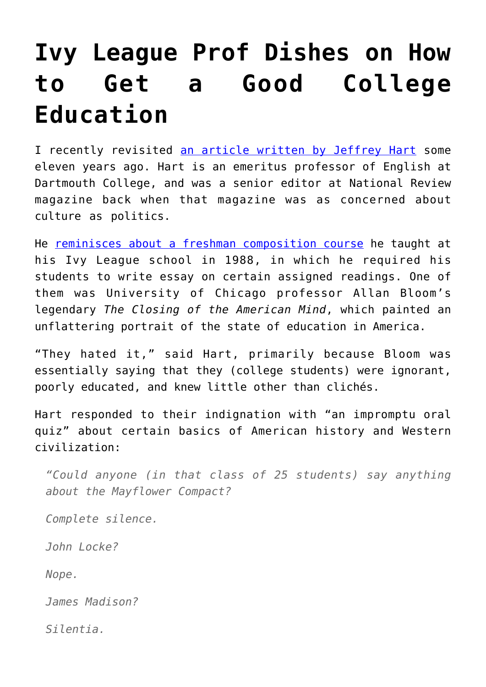## **[Ivy League Prof Dishes on How](https://intellectualtakeout.org/2017/11/ivy-league-prof-dishes-on-how-to-get-a-good-college-education/) [to Get a Good College](https://intellectualtakeout.org/2017/11/ivy-league-prof-dishes-on-how-to-get-a-good-college-education/) [Education](https://intellectualtakeout.org/2017/11/ivy-league-prof-dishes-on-how-to-get-a-good-college-education/)**

I recently revisited [an article written by Jeffrey Hart](http://www.nationalreview.com/article/218863/how-get-college-education-jeffrey-hart) some eleven years ago. Hart is an emeritus professor of English at Dartmouth College, and was a senior editor at National Review magazine back when that magazine was as concerned about culture as politics.

He [reminisces about a freshman composition course](http://www.nationalreview.com/article/218863/how-get-college-education-jeffrey-hart) he taught at his Ivy League school in 1988, in which he required his students to write essay on certain assigned readings. One of them was University of Chicago professor Allan Bloom's legendary *The Closing of the American Mind*, which painted an unflattering portrait of the state of education in America.

"They hated it," said Hart, primarily because Bloom was essentially saying that they (college students) were ignorant, poorly educated, and knew little other than clichés.

Hart responded to their indignation with "an impromptu oral quiz" about certain basics of American history and Western civilization:

*"Could anyone (in that class of 25 students) say anything about the Mayflower Compact?*

*Complete silence.*

*John Locke?*

*Nope.*

*James Madison?*

*Silentia.*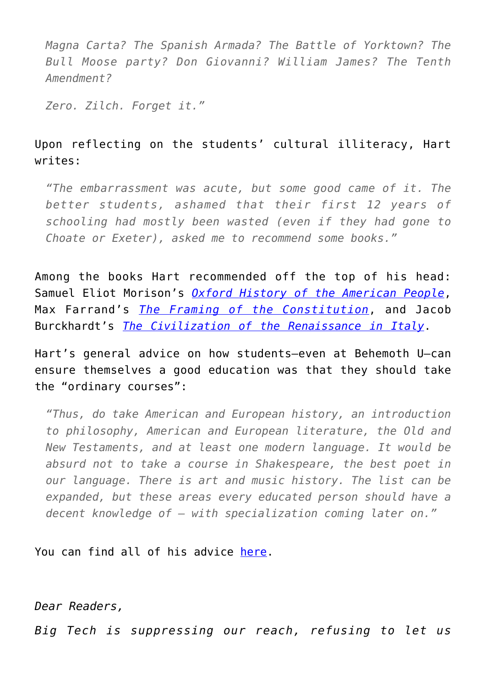*Magna Carta? The Spanish Armada? The Battle of Yorktown? The Bull Moose party? Don Giovanni? William James? The Tenth Amendment?*

*Zero. Zilch. Forget it."*

## Upon reflecting on the students' cultural illiteracy, Hart writes:

*"The embarrassment was acute, but some good came of it. The better students, ashamed that their first 12 years of schooling had mostly been wasted (even if they had gone to Choate or Exeter), asked me to recommend some books."*

Among the books Hart recommended off the top of his head: Samuel Eliot Morison's *[Oxford History of the American People](http://amzn.to/2zWmFor)*, Max Farrand's *[The Framing of the Constitution](http://amzn.to/2B7wOif)*, and Jacob Burckhardt's *[The Civilization of the Renaissance in Italy](http://amzn.to/2zVR08P)*.

Hart's general advice on how students—even at Behemoth U—can ensure themselves a good education was that they should take the "ordinary courses":

*"Thus, do take American and European history, an introduction to philosophy, American and European literature, the Old and New Testaments, and at least one modern language. It would be absurd not to take a course in Shakespeare, the best poet in our language. There is art and music history. The list can be expanded, but these areas every educated person should have a decent knowledge of — with specialization coming later on."*

You can find all of his advice [here.](http://www.nationalreview.com/article/218863/how-get-college-education-jeffrey-hart)

*Dear Readers,*

*Big Tech is suppressing our reach, refusing to let us*